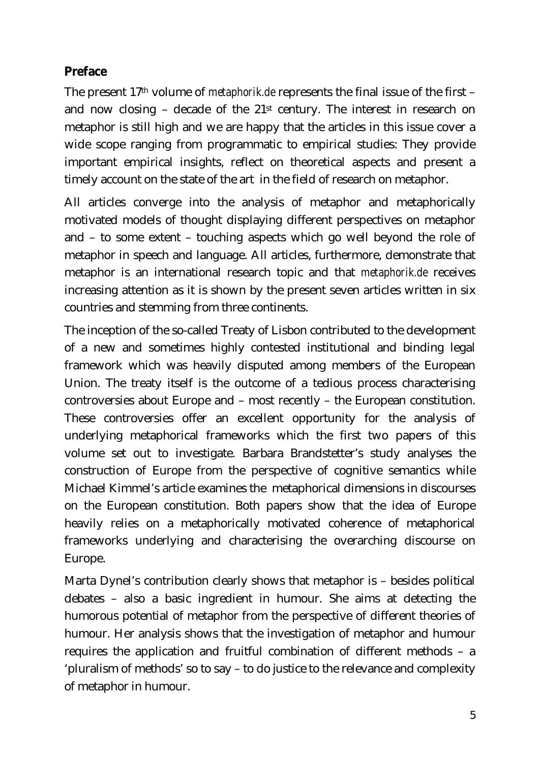## **Preface**

The present 17th volume of *metaphorik.de* represents the final issue of the first – and now closing – decade of the 21st century. The interest in research on metaphor is still high and we are happy that the articles in this issue cover a wide scope ranging from programmatic to empirical studies: They provide important empirical insights, reflect on theoretical aspects and present a timely account on the state of the art in the field of research on metaphor.

All articles converge into the analysis of metaphor and metaphorically motivated models of thought displaying different perspectives on metaphor and – to some extent – touching aspects which go well beyond the role of metaphor in speech and language. All articles, furthermore, demonstrate that metaphor is an international research topic and that *metaphorik.de* receives increasing attention as it is shown by the present seven articles written in six countries and stemming from three continents.

The inception of the so-called Treaty of Lisbon contributed to the development of a new and sometimes highly contested institutional and binding legal framework which was heavily disputed among members of the European Union. The treaty itself is the outcome of a tedious process characterising controversies about Europe and – most recently – the European constitution. These controversies offer an excellent opportunity for the analysis of underlying metaphorical frameworks which the first two papers of this volume set out to investigate. Barbara Brandstetter's study analyses the construction of Europe from the perspective of cognitive semantics while Michael Kimmel's article examines the metaphorical dimensions in discourses on the European constitution. Both papers show that the idea of Europe heavily relies on a metaphorically motivated coherence of metaphorical frameworks underlying and characterising the overarching discourse on Europe.

Marta Dynel's contribution clearly shows that metaphor is – besides political debates – also a basic ingredient in humour. She aims at detecting the humorous potential of metaphor from the perspective of different theories of humour. Her analysis shows that the investigation of metaphor and humour requires the application and fruitful combination of different methods – a 'pluralism of methods' so to say – to do justice to the relevance and complexity of metaphor in humour.